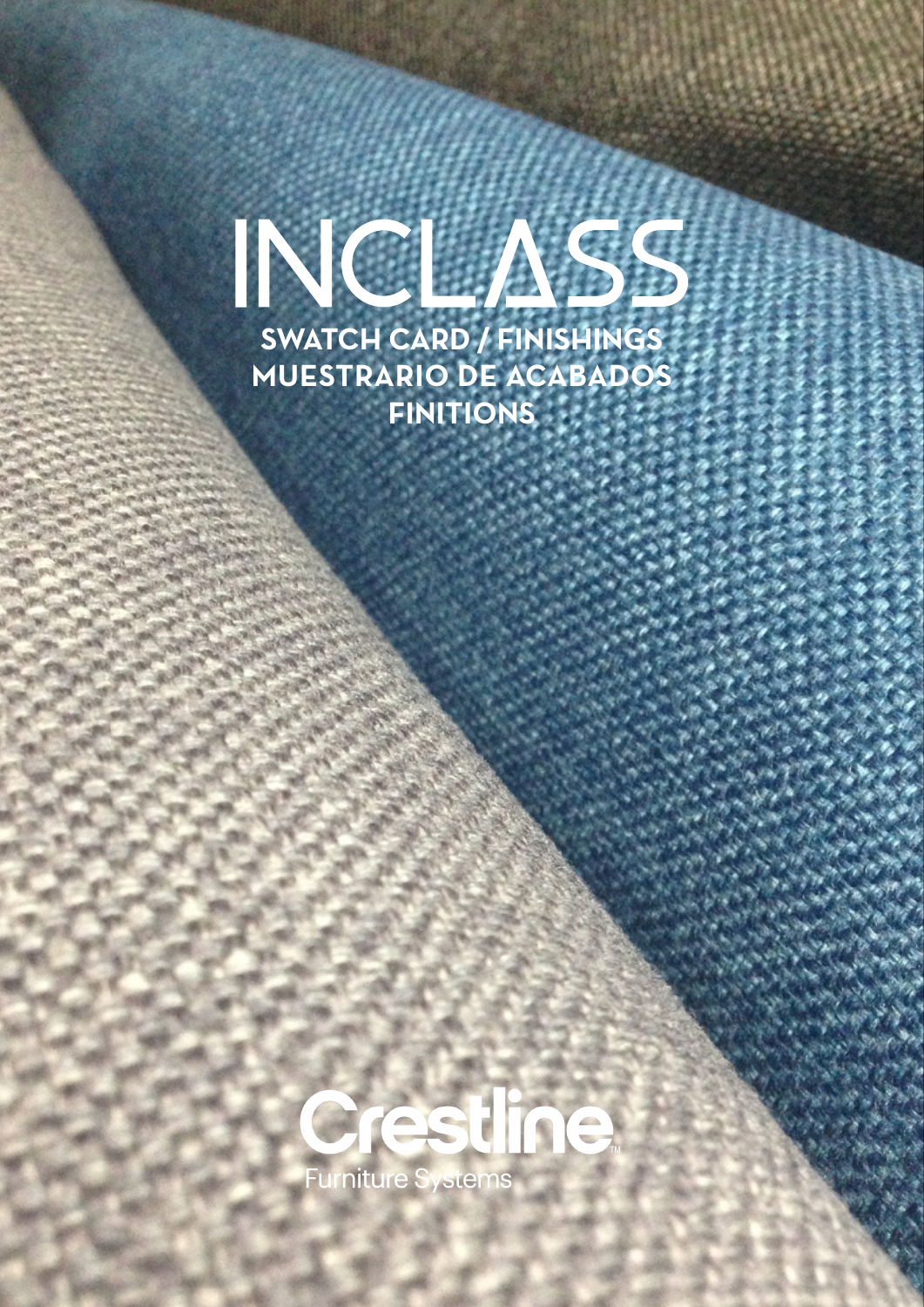## NCLASS **SWATCH CARD / FINISHINGS MUESTRARIO DE ACABADOS FINITIONS**



1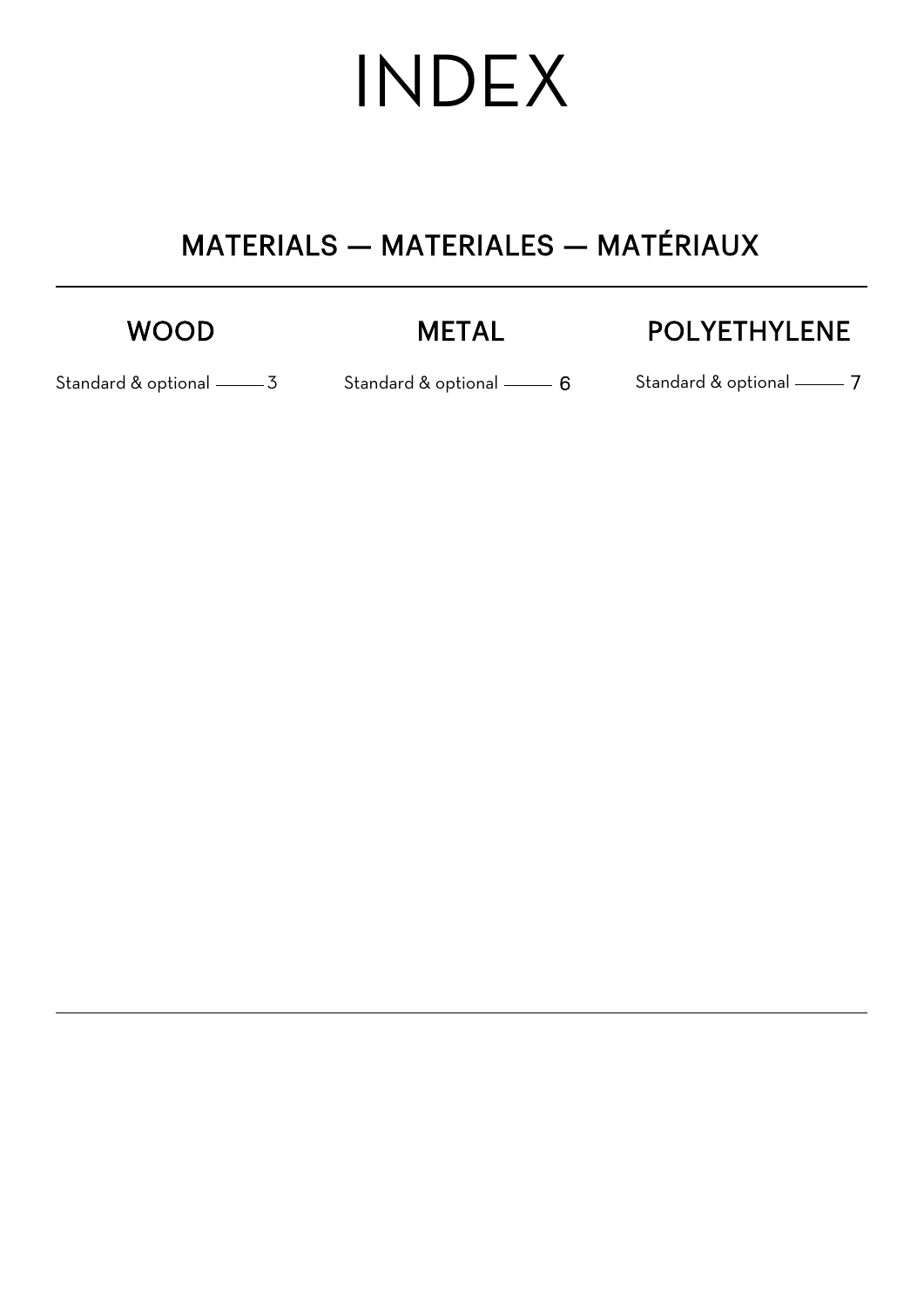# INDEX

### MATERIALS — MATERIALES — MATÉRIAUX

### WOOD

### [METAL](#page--1-0)

### [POLY](#page--1-0)E[THYLENE](#page--1-0)

[Standard & optio](#page--1-0)nal

Standard & optional [3](#page--1-0) 6 Standard & optional 7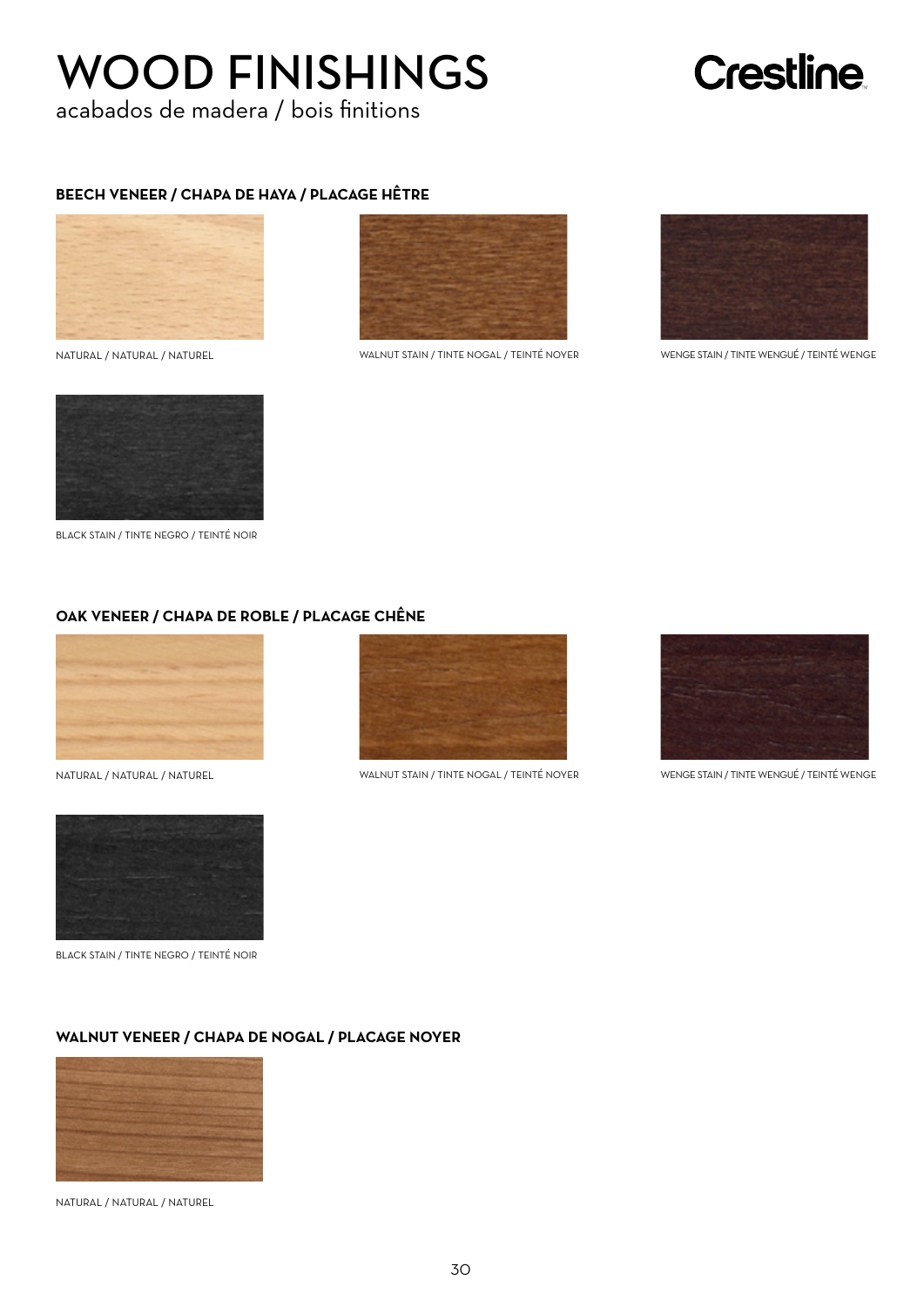## WOOD FINISHINGS

acabados de madera / bois finitions

## Crestline

#### **BEECH VENEER / CHAPA DE HAYA / PLACAGE HÊTRE**







NATURAL / NATURAL / NATUREL WALNUT STAIN / TINTE NOGAL / TEINTÉ NOYER WENGE STAIN / TINTE WENGUÉ / TEINTÉ WENGE



BLACK STAIN / TINTE NEGRO / TEINTÉ NOIR

#### **OAK VENEER / CHAPA DE ROBLE / PLACAGE CHÊNE**





BLACK STAIN / TINTE NEGRO / TEINTÉ NOIR



NATURAL / NATURAL / NATUREL WALNUT STAIN / TINTE NOGAL / TEINTÉ NOYER WENGE STAIN / TINTE WENGUÉ / TEINTÉ WENGE



#### **WALNUT VENEER / CHAPA DE NOGAL / PLACAGE NOYER**



NATURAL / NATURAL / NATUREL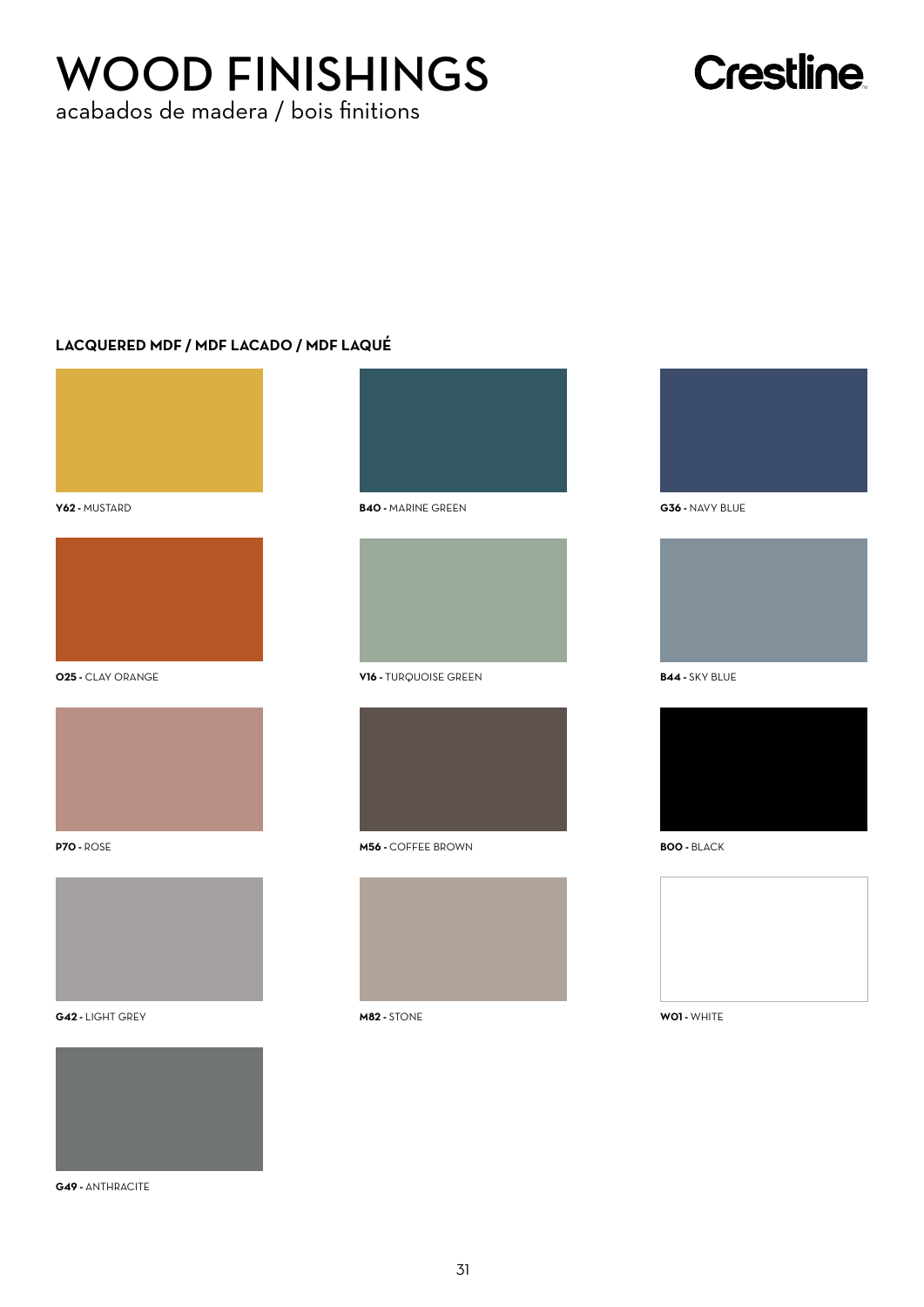## WOOD FINISHINGS

acabados de madera / bois finitions

## **Crestline**

#### **LACQUERED MDF / MDF LACADO / MDF LAQUÉ**



**Y62 -** MUSTARD







**G42 -** LIGHT GREY **M82 -** STONE **W01 -** WHITE



**G49 -** ANTHRACITE



**B40 -** MARINE GREEN



**O25 -** CLAY ORANGE **B44 -** SKY BLUE **V16 -** TURQUOISE GREEN



**P70 -** ROSE **M56 -** COFFEE BROWN





**G36 -** NAVY BLUE





**B00 -** BLACK

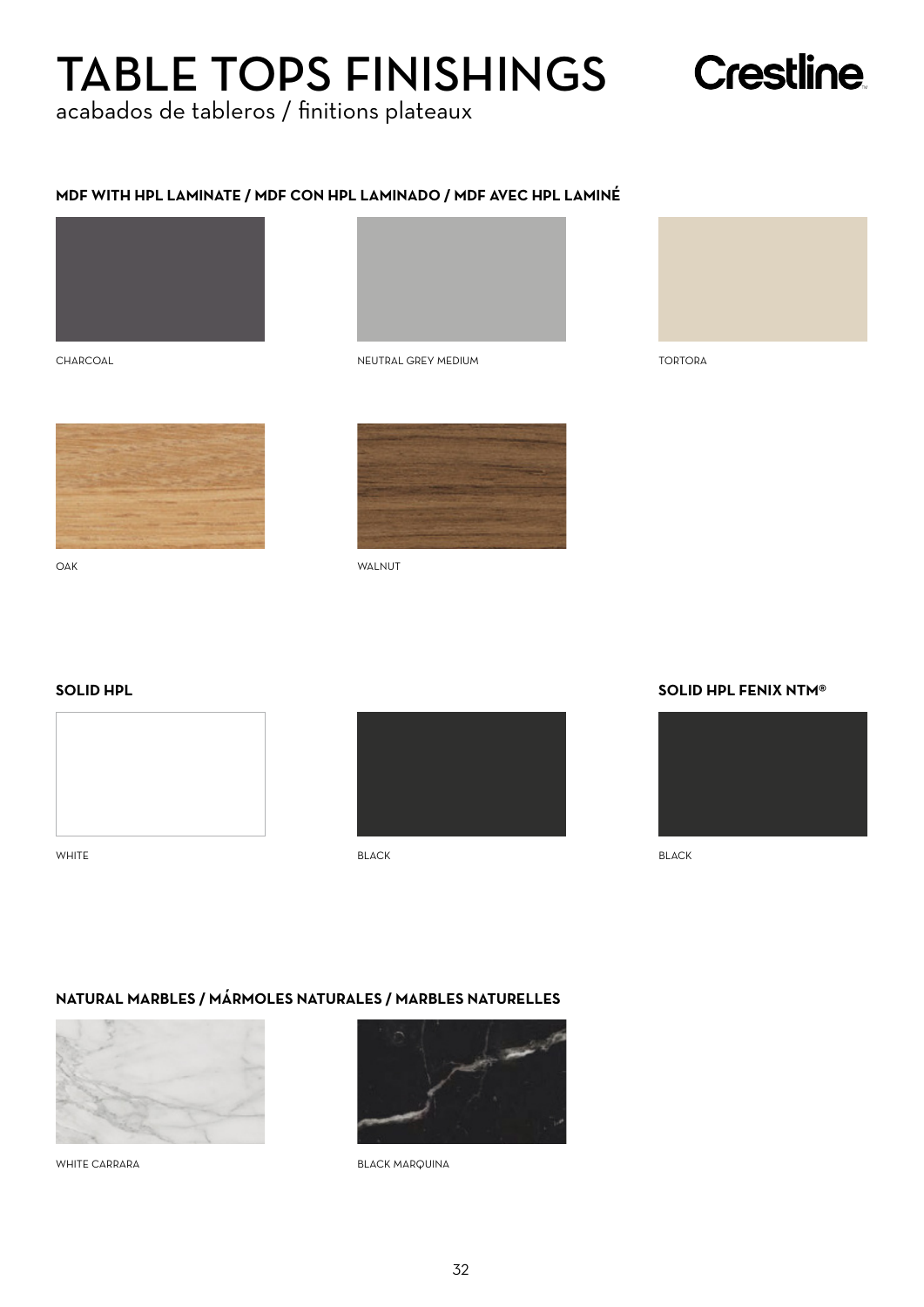## TABLE TOPS FINISHINGS

acabados de tableros / finitions plateaux

#### **MDF WITH HPL LAMINATE / MDF CON HPL LAMINADO / MDF AVEC HPL LAMINÉ**





NEUTRAL GREY MEDIUM **TORTORA** 



**Crestline** 

CHARCOAL



OAK WALNUT

#### **SOLID HPL**



WHITE



#### **SOLID HPL FENIX NTM®**



BLACK BLACK BLACK

#### **NATURAL MARBLES / MÁRMOLES NATURALES / MARBLES NATURELLES**



WHITE CARRARA



BLACK MARQUINA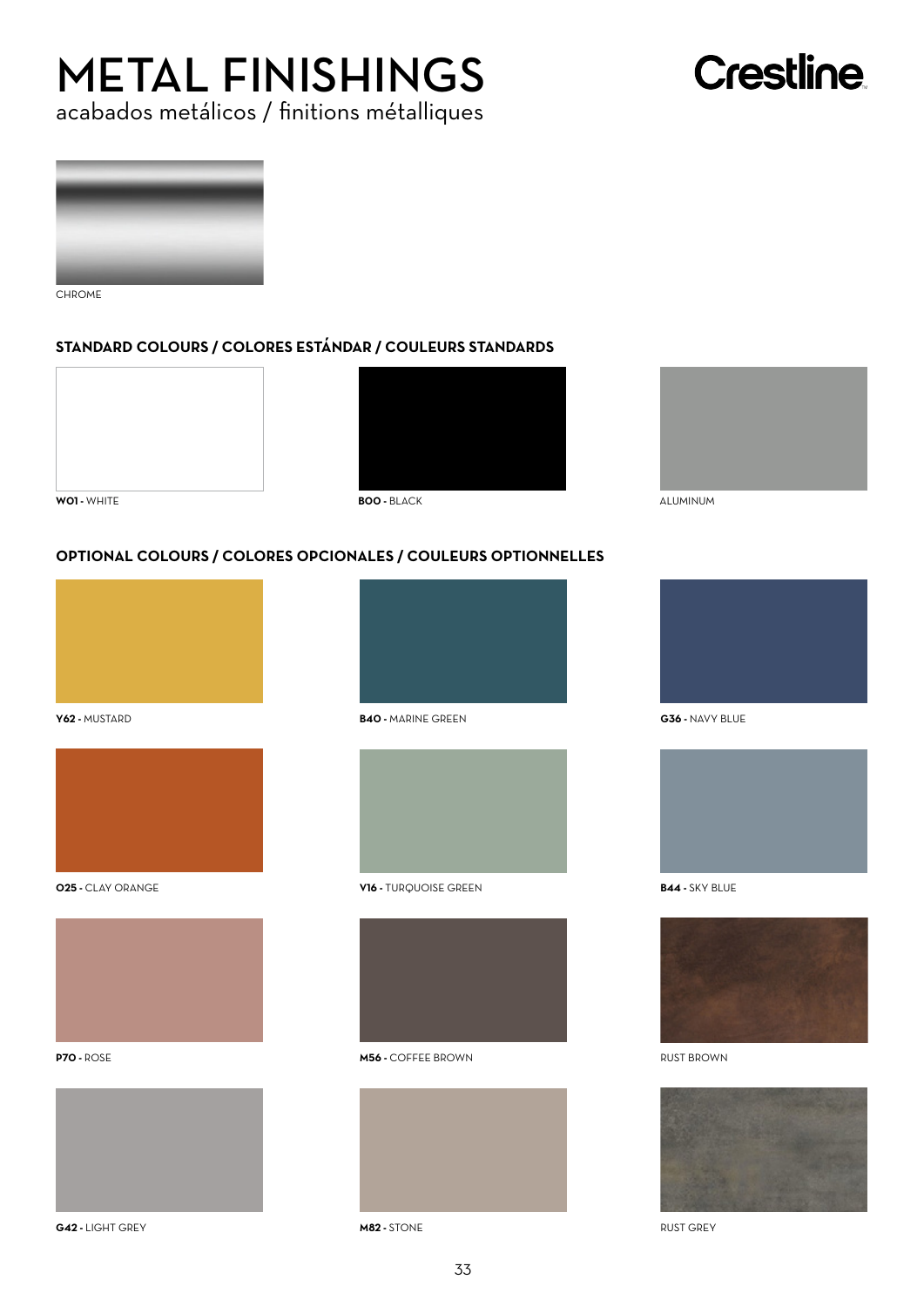## METAL FINISHINGS

### acabados metálicos / finitions métalliques

## **Crestline**



CHROME

#### **STANDARD COLOURS / COLORES ESTÁNDAR / COULEURS STANDARDS**





#### **OPTIONAL COLOURS / COLORES OPCIONALES / COULEURS OPTIONNELLES**



**Y62 -** MUSTARD







**G42 -** LIGHT GREY **M82 -** STONE RUST GREY



**B40 -** MARINE GREEN



**O25 -** CLAY ORANGE **B44 -** SKY BLUE **V16 -** TURQUOISE GREEN



**P70 -** ROSE **M56 -** COFFEE BROWN













RUST BROWN